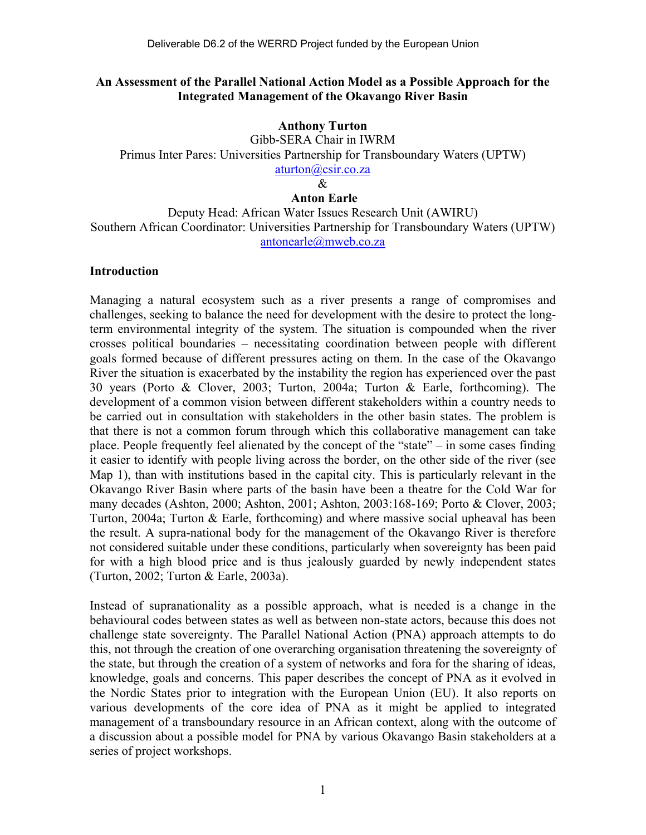### **An Assessment of the Parallel National Action Model as a Possible Approach for the Integrated Management of the Okavango River Basin**

# **Anthony Turton**

Gibb-SERA Chair in IWRM Primus Inter Pares: Universities Partnership for Transboundary Waters (UPTW) aturton@csir.co.za

&

### **Anton Earle**

Deputy Head: African Water Issues Research Unit (AWIRU) Southern African Coordinator: Universities Partnership for Transboundary Waters (UPTW) antonearle@mweb.co.za

## **Introduction**

Managing a natural ecosystem such as a river presents a range of compromises and challenges, seeking to balance the need for development with the desire to protect the longterm environmental integrity of the system. The situation is compounded when the river crosses political boundaries – necessitating coordination between people with different goals formed because of different pressures acting on them. In the case of the Okavango River the situation is exacerbated by the instability the region has experienced over the past 30 years (Porto & Clover, 2003; Turton, 2004a; Turton & Earle, forthcoming). The development of a common vision between different stakeholders within a country needs to be carried out in consultation with stakeholders in the other basin states. The problem is that there is not a common forum through which this collaborative management can take place. People frequently feel alienated by the concept of the "state" – in some cases finding it easier to identify with people living across the border, on the other side of the river (see Map 1), than with institutions based in the capital city. This is particularly relevant in the Okavango River Basin where parts of the basin have been a theatre for the Cold War for many decades (Ashton, 2000; Ashton, 2001; Ashton, 2003:168-169; Porto & Clover, 2003; Turton, 2004a; Turton & Earle, forthcoming) and where massive social upheaval has been the result. A supra-national body for the management of the Okavango River is therefore not considered suitable under these conditions, particularly when sovereignty has been paid for with a high blood price and is thus jealously guarded by newly independent states (Turton, 2002; Turton & Earle, 2003a).

Instead of supranationality as a possible approach, what is needed is a change in the behavioural codes between states as well as between non-state actors, because this does not challenge state sovereignty. The Parallel National Action (PNA) approach attempts to do this, not through the creation of one overarching organisation threatening the sovereignty of the state, but through the creation of a system of networks and fora for the sharing of ideas, knowledge, goals and concerns. This paper describes the concept of PNA as it evolved in the Nordic States prior to integration with the European Union (EU). It also reports on various developments of the core idea of PNA as it might be applied to integrated management of a transboundary resource in an African context, along with the outcome of a discussion about a possible model for PNA by various Okavango Basin stakeholders at a series of project workshops.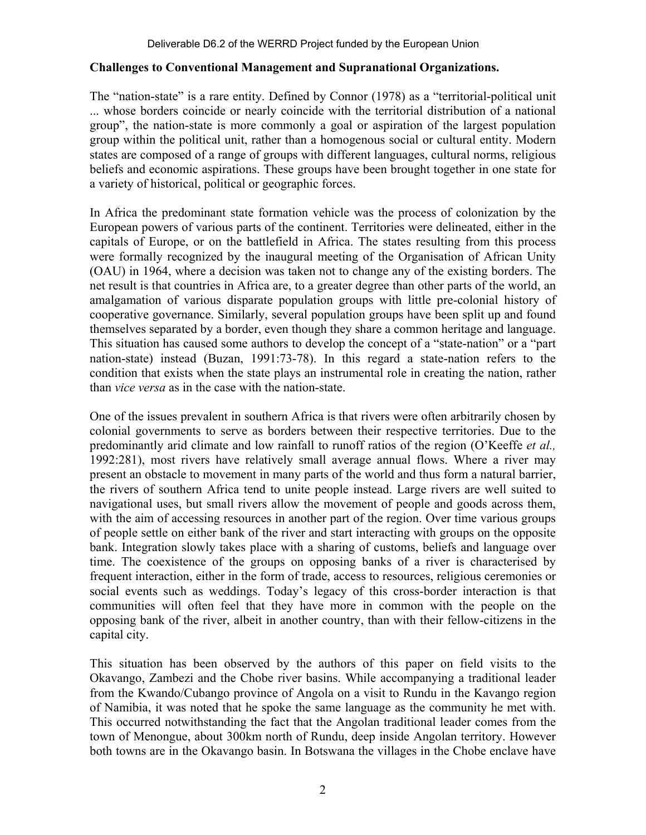## **Challenges to Conventional Management and Supranational Organizations.**

The "nation-state" is a rare entity. Defined by Connor (1978) as a "territorial-political unit ... whose borders coincide or nearly coincide with the territorial distribution of a national group", the nation-state is more commonly a goal or aspiration of the largest population group within the political unit, rather than a homogenous social or cultural entity. Modern states are composed of a range of groups with different languages, cultural norms, religious beliefs and economic aspirations. These groups have been brought together in one state for a variety of historical, political or geographic forces.

In Africa the predominant state formation vehicle was the process of colonization by the European powers of various parts of the continent. Territories were delineated, either in the capitals of Europe, or on the battlefield in Africa. The states resulting from this process were formally recognized by the inaugural meeting of the Organisation of African Unity (OAU) in 1964, where a decision was taken not to change any of the existing borders. The net result is that countries in Africa are, to a greater degree than other parts of the world, an amalgamation of various disparate population groups with little pre-colonial history of cooperative governance. Similarly, several population groups have been split up and found themselves separated by a border, even though they share a common heritage and language. This situation has caused some authors to develop the concept of a "state-nation" or a "part nation-state) instead (Buzan, 1991:73-78). In this regard a state-nation refers to the condition that exists when the state plays an instrumental role in creating the nation, rather than *vice versa* as in the case with the nation-state.

One of the issues prevalent in southern Africa is that rivers were often arbitrarily chosen by colonial governments to serve as borders between their respective territories. Due to the predominantly arid climate and low rainfall to runoff ratios of the region (O'Keeffe *et al.,* 1992:281), most rivers have relatively small average annual flows. Where a river may present an obstacle to movement in many parts of the world and thus form a natural barrier, the rivers of southern Africa tend to unite people instead. Large rivers are well suited to navigational uses, but small rivers allow the movement of people and goods across them, with the aim of accessing resources in another part of the region. Over time various groups of people settle on either bank of the river and start interacting with groups on the opposite bank. Integration slowly takes place with a sharing of customs, beliefs and language over time. The coexistence of the groups on opposing banks of a river is characterised by frequent interaction, either in the form of trade, access to resources, religious ceremonies or social events such as weddings. Today's legacy of this cross-border interaction is that communities will often feel that they have more in common with the people on the opposing bank of the river, albeit in another country, than with their fellow-citizens in the capital city.

This situation has been observed by the authors of this paper on field visits to the Okavango, Zambezi and the Chobe river basins. While accompanying a traditional leader from the Kwando/Cubango province of Angola on a visit to Rundu in the Kavango region of Namibia, it was noted that he spoke the same language as the community he met with. This occurred notwithstanding the fact that the Angolan traditional leader comes from the town of Menongue, about 300km north of Rundu, deep inside Angolan territory. However both towns are in the Okavango basin. In Botswana the villages in the Chobe enclave have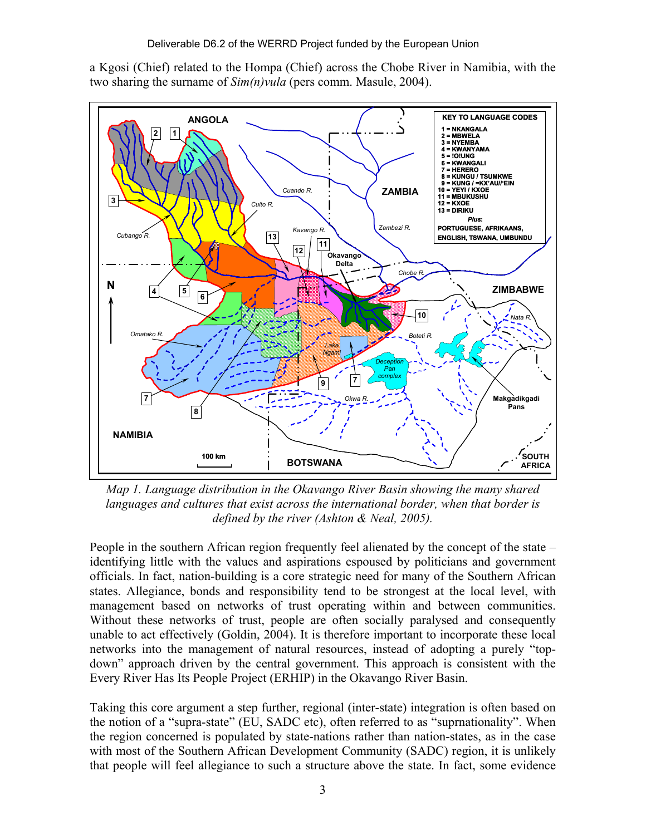a Kgosi (Chief) related to the Hompa (Chief) across the Chobe River in Namibia, with the two sharing the surname of *Sim(n)vula* (pers comm. Masule, 2004).



*Map 1. Language distribution in the Okavango River Basin showing the many shared languages and cultures that exist across the international border, when that border is defined by the river (Ashton & Neal, 2005).* 

People in the southern African region frequently feel alienated by the concept of the state – identifying little with the values and aspirations espoused by politicians and government officials. In fact, nation-building is a core strategic need for many of the Southern African states. Allegiance, bonds and responsibility tend to be strongest at the local level, with management based on networks of trust operating within and between communities. Without these networks of trust, people are often socially paralysed and consequently unable to act effectively (Goldin, 2004). It is therefore important to incorporate these local networks into the management of natural resources, instead of adopting a purely "topdown" approach driven by the central government. This approach is consistent with the Every River Has Its People Project (ERHIP) in the Okavango River Basin.

Taking this core argument a step further, regional (inter-state) integration is often based on the notion of a "supra-state" (EU, SADC etc), often referred to as "suprnationality". When the region concerned is populated by state-nations rather than nation-states, as in the case with most of the Southern African Development Community (SADC) region, it is unlikely that people will feel allegiance to such a structure above the state. In fact, some evidence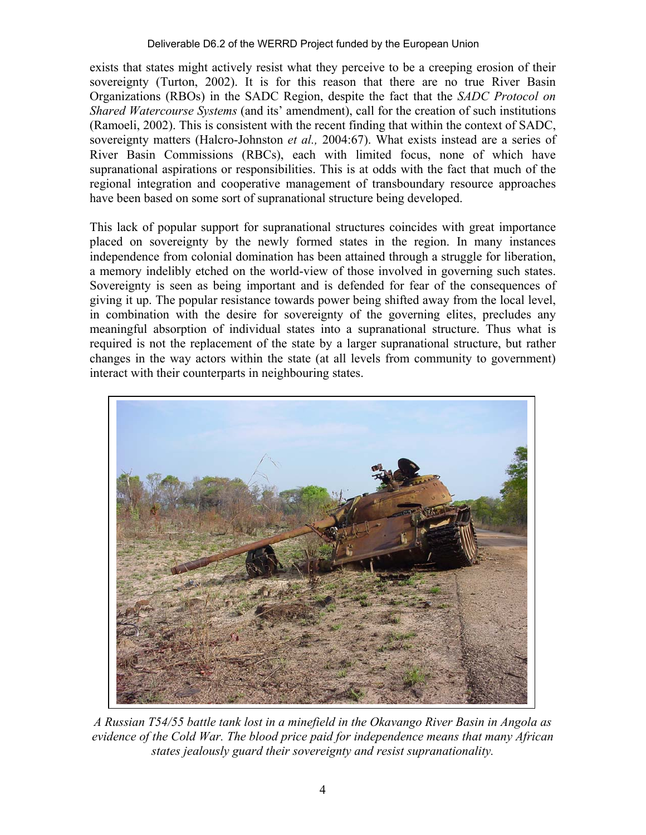exists that states might actively resist what they perceive to be a creeping erosion of their sovereignty (Turton, 2002). It is for this reason that there are no true River Basin Organizations (RBOs) in the SADC Region, despite the fact that the *SADC Protocol on Shared Watercourse Systems* (and its' amendment), call for the creation of such institutions (Ramoeli, 2002). This is consistent with the recent finding that within the context of SADC, sovereignty matters (Halcro-Johnston *et al.,* 2004:67). What exists instead are a series of River Basin Commissions (RBCs), each with limited focus, none of which have supranational aspirations or responsibilities. This is at odds with the fact that much of the regional integration and cooperative management of transboundary resource approaches have been based on some sort of supranational structure being developed.

This lack of popular support for supranational structures coincides with great importance placed on sovereignty by the newly formed states in the region. In many instances independence from colonial domination has been attained through a struggle for liberation, a memory indelibly etched on the world-view of those involved in governing such states. Sovereignty is seen as being important and is defended for fear of the consequences of giving it up. The popular resistance towards power being shifted away from the local level, in combination with the desire for sovereignty of the governing elites, precludes any meaningful absorption of individual states into a supranational structure. Thus what is required is not the replacement of the state by a larger supranational structure, but rather changes in the way actors within the state (at all levels from community to government) interact with their counterparts in neighbouring states.



*A Russian T54/55 battle tank lost in a minefield in the Okavango River Basin in Angola as evidence of the Cold War. The blood price paid for independence means that many African states jealously guard their sovereignty and resist supranationality.*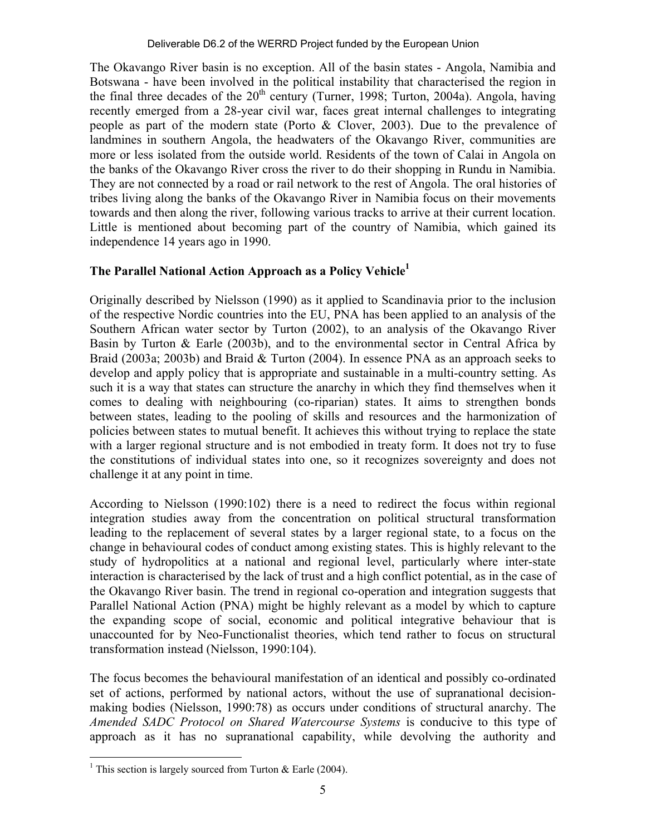The Okavango River basin is no exception. All of the basin states - Angola, Namibia and Botswana - have been involved in the political instability that characterised the region in the final three decades of the  $20<sup>th</sup>$  century (Turner, 1998; Turton, 2004a). Angola, having recently emerged from a 28-year civil war, faces great internal challenges to integrating people as part of the modern state (Porto & Clover, 2003). Due to the prevalence of landmines in southern Angola, the headwaters of the Okavango River, communities are more or less isolated from the outside world. Residents of the town of Calai in Angola on the banks of the Okavango River cross the river to do their shopping in Rundu in Namibia. They are not connected by a road or rail network to the rest of Angola. The oral histories of tribes living along the banks of the Okavango River in Namibia focus on their movements towards and then along the river, following various tracks to arrive at their current location. Little is mentioned about becoming part of the country of Namibia, which gained its independence 14 years ago in 1990.

# **The Parallel National Action Approach as a Policy Vehicle1**

Originally described by Nielsson (1990) as it applied to Scandinavia prior to the inclusion of the respective Nordic countries into the EU, PNA has been applied to an analysis of the Southern African water sector by Turton (2002), to an analysis of the Okavango River Basin by Turton & Earle (2003b), and to the environmental sector in Central Africa by Braid (2003a; 2003b) and Braid & Turton (2004). In essence PNA as an approach seeks to develop and apply policy that is appropriate and sustainable in a multi-country setting. As such it is a way that states can structure the anarchy in which they find themselves when it comes to dealing with neighbouring (co-riparian) states. It aims to strengthen bonds between states, leading to the pooling of skills and resources and the harmonization of policies between states to mutual benefit. It achieves this without trying to replace the state with a larger regional structure and is not embodied in treaty form. It does not try to fuse the constitutions of individual states into one, so it recognizes sovereignty and does not challenge it at any point in time.

According to Nielsson (1990:102) there is a need to redirect the focus within regional integration studies away from the concentration on political structural transformation leading to the replacement of several states by a larger regional state, to a focus on the change in behavioural codes of conduct among existing states. This is highly relevant to the study of hydropolitics at a national and regional level, particularly where inter-state interaction is characterised by the lack of trust and a high conflict potential, as in the case of the Okavango River basin. The trend in regional co-operation and integration suggests that Parallel National Action (PNA) might be highly relevant as a model by which to capture the expanding scope of social, economic and political integrative behaviour that is unaccounted for by Neo-Functionalist theories, which tend rather to focus on structural transformation instead (Nielsson, 1990:104).

The focus becomes the behavioural manifestation of an identical and possibly co-ordinated set of actions, performed by national actors, without the use of supranational decisionmaking bodies (Nielsson, 1990:78) as occurs under conditions of structural anarchy. The *Amended SADC Protocol on Shared Watercourse Systems* is conducive to this type of approach as it has no supranational capability, while devolving the authority and

<sup>1</sup> <sup>1</sup> This section is largely sourced from Turton & Earle (2004).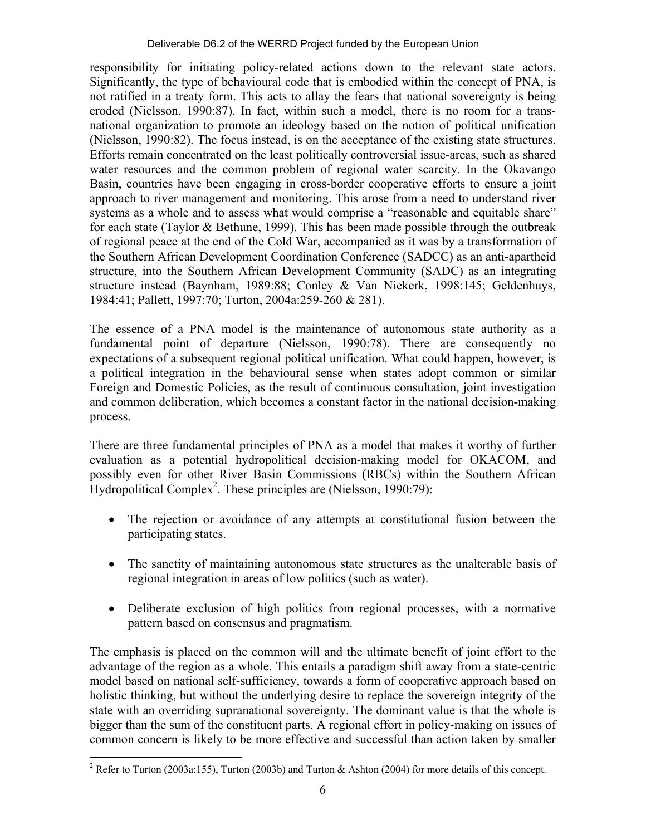responsibility for initiating policy-related actions down to the relevant state actors. Significantly, the type of behavioural code that is embodied within the concept of PNA, is not ratified in a treaty form. This acts to allay the fears that national sovereignty is being eroded (Nielsson, 1990:87). In fact, within such a model, there is no room for a transnational organization to promote an ideology based on the notion of political unification (Nielsson, 1990:82). The focus instead, is on the acceptance of the existing state structures. Efforts remain concentrated on the least politically controversial issue-areas, such as shared water resources and the common problem of regional water scarcity. In the Okavango Basin, countries have been engaging in cross-border cooperative efforts to ensure a joint approach to river management and monitoring. This arose from a need to understand river systems as a whole and to assess what would comprise a "reasonable and equitable share" for each state (Taylor  $&$  Bethune, 1999). This has been made possible through the outbreak of regional peace at the end of the Cold War, accompanied as it was by a transformation of the Southern African Development Coordination Conference (SADCC) as an anti-apartheid structure, into the Southern African Development Community (SADC) as an integrating structure instead (Baynham, 1989:88; Conley & Van Niekerk, 1998:145; Geldenhuys, 1984:41; Pallett, 1997:70; Turton, 2004a:259-260 & 281).

The essence of a PNA model is the maintenance of autonomous state authority as a fundamental point of departure (Nielsson, 1990:78). There are consequently no expectations of a subsequent regional political unification. What could happen, however, is a political integration in the behavioural sense when states adopt common or similar Foreign and Domestic Policies, as the result of continuous consultation, joint investigation and common deliberation, which becomes a constant factor in the national decision-making process.

There are three fundamental principles of PNA as a model that makes it worthy of further evaluation as a potential hydropolitical decision-making model for OKACOM, and possibly even for other River Basin Commissions (RBCs) within the Southern African  $H$ ydropolitical Complex<sup>2</sup>. These principles are (Nielsson, 1990:79):

- The rejection or avoidance of any attempts at constitutional fusion between the participating states.
- The sanctity of maintaining autonomous state structures as the unalterable basis of regional integration in areas of low politics (such as water).
- Deliberate exclusion of high politics from regional processes, with a normative pattern based on consensus and pragmatism.

The emphasis is placed on the common will and the ultimate benefit of joint effort to the advantage of the region as a whole. This entails a paradigm shift away from a state-centric model based on national self-sufficiency, towards a form of cooperative approach based on holistic thinking, but without the underlying desire to replace the sovereign integrity of the state with an overriding supranational sovereignty. The dominant value is that the whole is bigger than the sum of the constituent parts. A regional effort in policy-making on issues of common concern is likely to be more effective and successful than action taken by smaller

<sup>1</sup> <sup>2</sup> Refer to Turton (2003a:155), Turton (2003b) and Turton & Ashton (2004) for more details of this concept.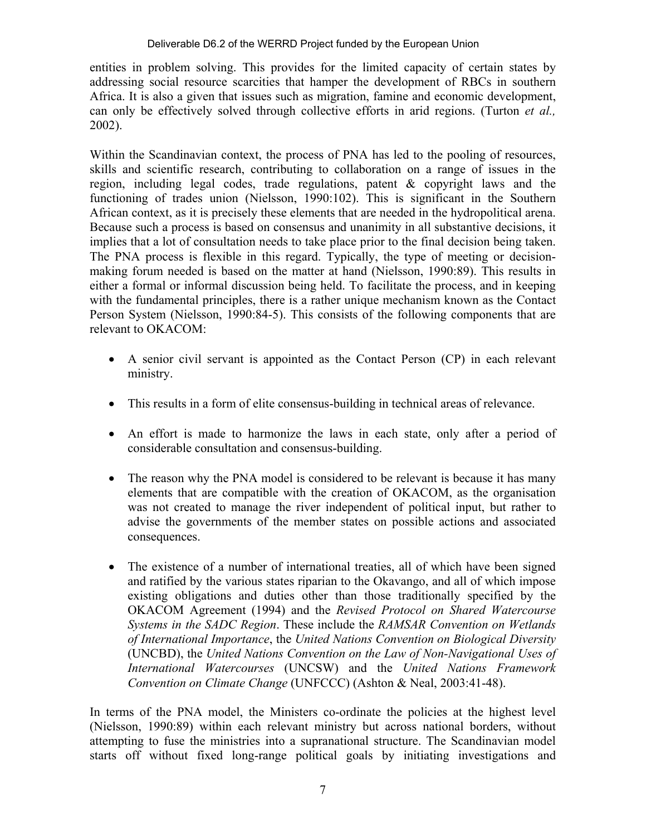entities in problem solving. This provides for the limited capacity of certain states by addressing social resource scarcities that hamper the development of RBCs in southern Africa. It is also a given that issues such as migration, famine and economic development, can only be effectively solved through collective efforts in arid regions. (Turton *et al.,* 2002).

Within the Scandinavian context, the process of PNA has led to the pooling of resources, skills and scientific research, contributing to collaboration on a range of issues in the region, including legal codes, trade regulations, patent & copyright laws and the functioning of trades union (Nielsson, 1990:102). This is significant in the Southern African context, as it is precisely these elements that are needed in the hydropolitical arena. Because such a process is based on consensus and unanimity in all substantive decisions, it implies that a lot of consultation needs to take place prior to the final decision being taken. The PNA process is flexible in this regard. Typically, the type of meeting or decisionmaking forum needed is based on the matter at hand (Nielsson, 1990:89). This results in either a formal or informal discussion being held. To facilitate the process, and in keeping with the fundamental principles, there is a rather unique mechanism known as the Contact Person System (Nielsson, 1990:84-5). This consists of the following components that are relevant to OKACOM:

- A senior civil servant is appointed as the Contact Person (CP) in each relevant ministry.
- This results in a form of elite consensus-building in technical areas of relevance.
- An effort is made to harmonize the laws in each state, only after a period of considerable consultation and consensus-building.
- The reason why the PNA model is considered to be relevant is because it has many elements that are compatible with the creation of OKACOM, as the organisation was not created to manage the river independent of political input, but rather to advise the governments of the member states on possible actions and associated consequences.
- The existence of a number of international treaties, all of which have been signed and ratified by the various states riparian to the Okavango, and all of which impose existing obligations and duties other than those traditionally specified by the OKACOM Agreement (1994) and the *Revised Protocol on Shared Watercourse Systems in the SADC Region*. These include the *RAMSAR Convention on Wetlands of International Importance*, the *United Nations Convention on Biological Diversity* (UNCBD), the *United Nations Convention on the Law of Non-Navigational Uses of International Watercourses* (UNCSW) and the *United Nations Framework Convention on Climate Change* (UNFCCC) (Ashton & Neal, 2003:41-48).

In terms of the PNA model, the Ministers co-ordinate the policies at the highest level (Nielsson, 1990:89) within each relevant ministry but across national borders, without attempting to fuse the ministries into a supranational structure. The Scandinavian model starts off without fixed long-range political goals by initiating investigations and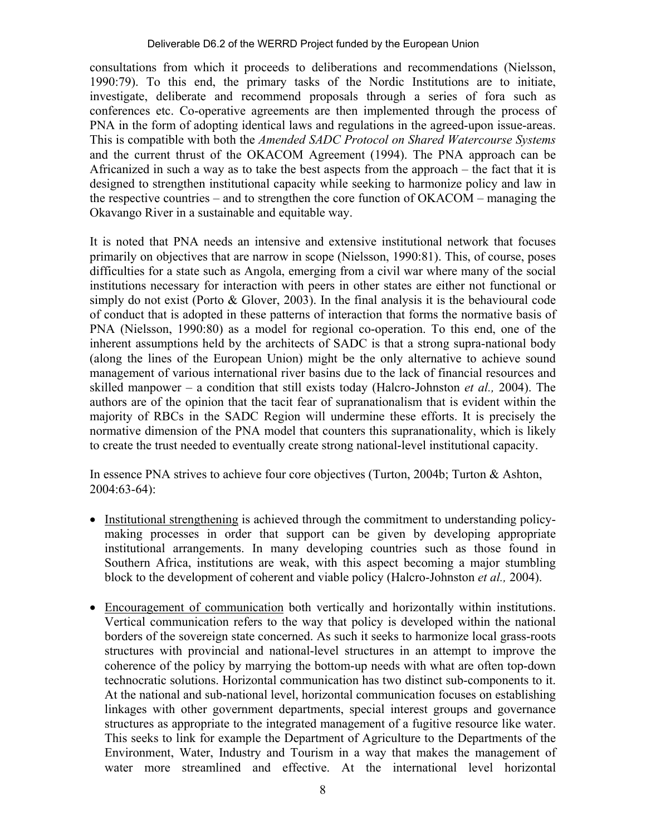consultations from which it proceeds to deliberations and recommendations (Nielsson, 1990:79). To this end, the primary tasks of the Nordic Institutions are to initiate, investigate, deliberate and recommend proposals through a series of fora such as conferences etc. Co-operative agreements are then implemented through the process of PNA in the form of adopting identical laws and regulations in the agreed-upon issue-areas. This is compatible with both the *Amended SADC Protocol on Shared Watercourse Systems* and the current thrust of the OKACOM Agreement (1994). The PNA approach can be Africanized in such a way as to take the best aspects from the approach – the fact that it is designed to strengthen institutional capacity while seeking to harmonize policy and law in the respective countries – and to strengthen the core function of OKACOM – managing the Okavango River in a sustainable and equitable way.

It is noted that PNA needs an intensive and extensive institutional network that focuses primarily on objectives that are narrow in scope (Nielsson, 1990:81). This, of course, poses difficulties for a state such as Angola, emerging from a civil war where many of the social institutions necessary for interaction with peers in other states are either not functional or simply do not exist (Porto & Glover, 2003). In the final analysis it is the behavioural code of conduct that is adopted in these patterns of interaction that forms the normative basis of PNA (Nielsson, 1990:80) as a model for regional co-operation. To this end, one of the inherent assumptions held by the architects of SADC is that a strong supra-national body (along the lines of the European Union) might be the only alternative to achieve sound management of various international river basins due to the lack of financial resources and skilled manpower – a condition that still exists today (Halcro-Johnston *et al.,* 2004). The authors are of the opinion that the tacit fear of supranationalism that is evident within the majority of RBCs in the SADC Region will undermine these efforts. It is precisely the normative dimension of the PNA model that counters this supranationality, which is likely to create the trust needed to eventually create strong national-level institutional capacity.

In essence PNA strives to achieve four core objectives (Turton, 2004b; Turton & Ashton, 2004:63-64):

- Institutional strengthening is achieved through the commitment to understanding policymaking processes in order that support can be given by developing appropriate institutional arrangements. In many developing countries such as those found in Southern Africa, institutions are weak, with this aspect becoming a major stumbling block to the development of coherent and viable policy (Halcro-Johnston *et al.,* 2004).
- Encouragement of communication both vertically and horizontally within institutions. Vertical communication refers to the way that policy is developed within the national borders of the sovereign state concerned. As such it seeks to harmonize local grass-roots structures with provincial and national-level structures in an attempt to improve the coherence of the policy by marrying the bottom-up needs with what are often top-down technocratic solutions. Horizontal communication has two distinct sub-components to it. At the national and sub-national level, horizontal communication focuses on establishing linkages with other government departments, special interest groups and governance structures as appropriate to the integrated management of a fugitive resource like water. This seeks to link for example the Department of Agriculture to the Departments of the Environment, Water, Industry and Tourism in a way that makes the management of water more streamlined and effective. At the international level horizontal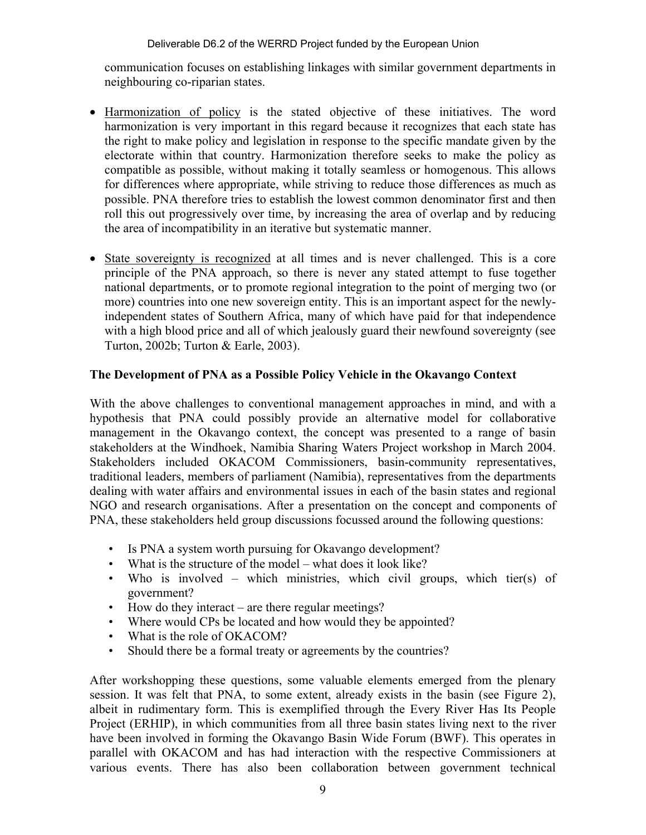communication focuses on establishing linkages with similar government departments in neighbouring co-riparian states.

- Harmonization of policy is the stated objective of these initiatives. The word harmonization is very important in this regard because it recognizes that each state has the right to make policy and legislation in response to the specific mandate given by the electorate within that country. Harmonization therefore seeks to make the policy as compatible as possible, without making it totally seamless or homogenous. This allows for differences where appropriate, while striving to reduce those differences as much as possible. PNA therefore tries to establish the lowest common denominator first and then roll this out progressively over time, by increasing the area of overlap and by reducing the area of incompatibility in an iterative but systematic manner.
- State sovereignty is recognized at all times and is never challenged. This is a core principle of the PNA approach, so there is never any stated attempt to fuse together national departments, or to promote regional integration to the point of merging two (or more) countries into one new sovereign entity. This is an important aspect for the newlyindependent states of Southern Africa, many of which have paid for that independence with a high blood price and all of which jealously guard their newfound sovereignty (see Turton, 2002b; Turton & Earle, 2003).

# **The Development of PNA as a Possible Policy Vehicle in the Okavango Context**

With the above challenges to conventional management approaches in mind, and with a hypothesis that PNA could possibly provide an alternative model for collaborative management in the Okavango context, the concept was presented to a range of basin stakeholders at the Windhoek, Namibia Sharing Waters Project workshop in March 2004. Stakeholders included OKACOM Commissioners, basin-community representatives, traditional leaders, members of parliament (Namibia), representatives from the departments dealing with water affairs and environmental issues in each of the basin states and regional NGO and research organisations. After a presentation on the concept and components of PNA, these stakeholders held group discussions focussed around the following questions:

- Is PNA a system worth pursuing for Okavango development?
- What is the structure of the model what does it look like?
- Who is involved which ministries, which civil groups, which tier(s) of government?
- How do they interact are there regular meetings?
- Where would CPs be located and how would they be appointed?
- What is the role of OKACOM?
- Should there be a formal treaty or agreements by the countries?

After workshopping these questions, some valuable elements emerged from the plenary session. It was felt that PNA, to some extent, already exists in the basin (see Figure 2), albeit in rudimentary form. This is exemplified through the Every River Has Its People Project (ERHIP), in which communities from all three basin states living next to the river have been involved in forming the Okavango Basin Wide Forum (BWF). This operates in parallel with OKACOM and has had interaction with the respective Commissioners at various events. There has also been collaboration between government technical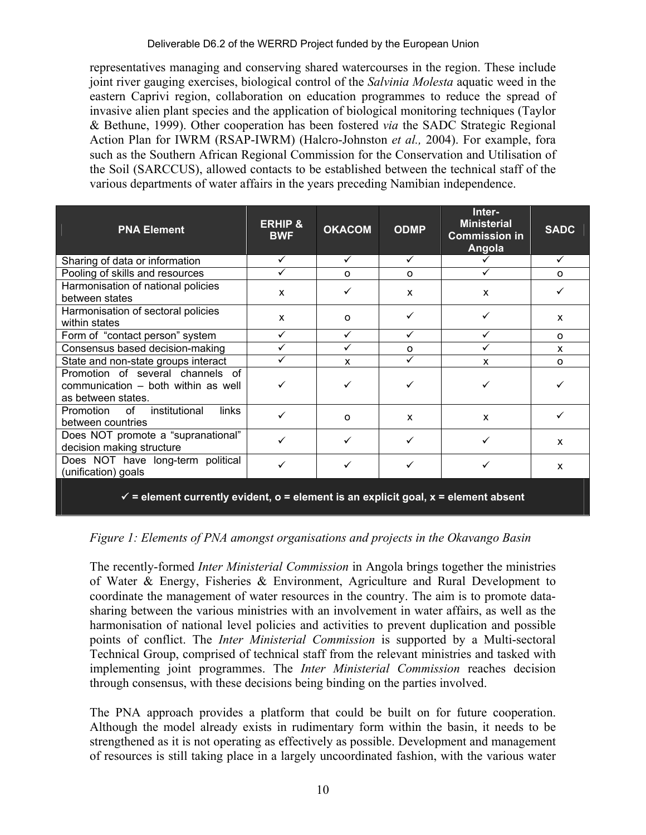representatives managing and conserving shared watercourses in the region. These include joint river gauging exercises, biological control of the *Salvinia Molesta* aquatic weed in the eastern Caprivi region, collaboration on education programmes to reduce the spread of invasive alien plant species and the application of biological monitoring techniques (Taylor & Bethune, 1999). Other cooperation has been fostered *via* the SADC Strategic Regional Action Plan for IWRM (RSAP-IWRM) (Halcro-Johnston *et al.,* 2004). For example, fora such as the Southern African Regional Commission for the Conservation and Utilisation of the Soil (SARCCUS), allowed contacts to be established between the technical staff of the various departments of water affairs in the years preceding Namibian independence.

| <b>PNA Element</b>                                                                            | <b>ERHIP &amp;</b><br><b>BWF</b> | <b>OKACOM</b> | <b>ODMP</b>  | Inter-<br><b>Ministerial</b><br><b>Commission in</b><br>Angola | <b>SADC</b> |
|-----------------------------------------------------------------------------------------------|----------------------------------|---------------|--------------|----------------------------------------------------------------|-------------|
| Sharing of data or information                                                                | ✓                                | ✓             | ✓            |                                                                | ✓           |
| Pooling of skills and resources                                                               | ✓                                | $\Omega$      | $\Omega$     | $\checkmark$                                                   | O           |
| Harmonisation of national policies<br>between states                                          | X                                | ✓             | X            | X                                                              |             |
| Harmonisation of sectoral policies<br>within states                                           | X                                | $\Omega$      |              | ✓                                                              | X           |
| Form of "contact person" system                                                               | ✓                                | $\checkmark$  | ✓            | $\checkmark$                                                   | $\Omega$    |
| Consensus based decision-making                                                               |                                  |               | O            |                                                                | X           |
| State and non-state groups interact                                                           |                                  | X             |              | $\boldsymbol{\mathsf{x}}$                                      | $\Omega$    |
| Promotion of several channels of<br>communication - both within as well<br>as between states. |                                  | ✓             | ✓            | ✓                                                              |             |
| institutional<br>links<br>Promotion of<br>between countries                                   |                                  | $\Omega$      | $\mathsf{x}$ | $\boldsymbol{\mathsf{x}}$                                      |             |
| Does NOT promote a "supranational"<br>decision making structure                               |                                  |               | ✓            | ✓                                                              | X           |
| Does NOT have long-term political<br>(unification) goals                                      |                                  |               | ✓            |                                                                | x           |
|                                                                                               |                                  |               |              |                                                                |             |

 $\checkmark$  = element currently evident,  $o$  = element is an explicit goal,  $x$  = element absent

#### *Figure 1: Elements of PNA amongst organisations and projects in the Okavango Basin*

The recently-formed *Inter Ministerial Commission* in Angola brings together the ministries of Water & Energy, Fisheries & Environment, Agriculture and Rural Development to coordinate the management of water resources in the country. The aim is to promote datasharing between the various ministries with an involvement in water affairs, as well as the harmonisation of national level policies and activities to prevent duplication and possible points of conflict. The *Inter Ministerial Commission* is supported by a Multi-sectoral Technical Group, comprised of technical staff from the relevant ministries and tasked with implementing joint programmes. The *Inter Ministerial Commission* reaches decision through consensus, with these decisions being binding on the parties involved.

The PNA approach provides a platform that could be built on for future cooperation. Although the model already exists in rudimentary form within the basin, it needs to be strengthened as it is not operating as effectively as possible. Development and management of resources is still taking place in a largely uncoordinated fashion, with the various water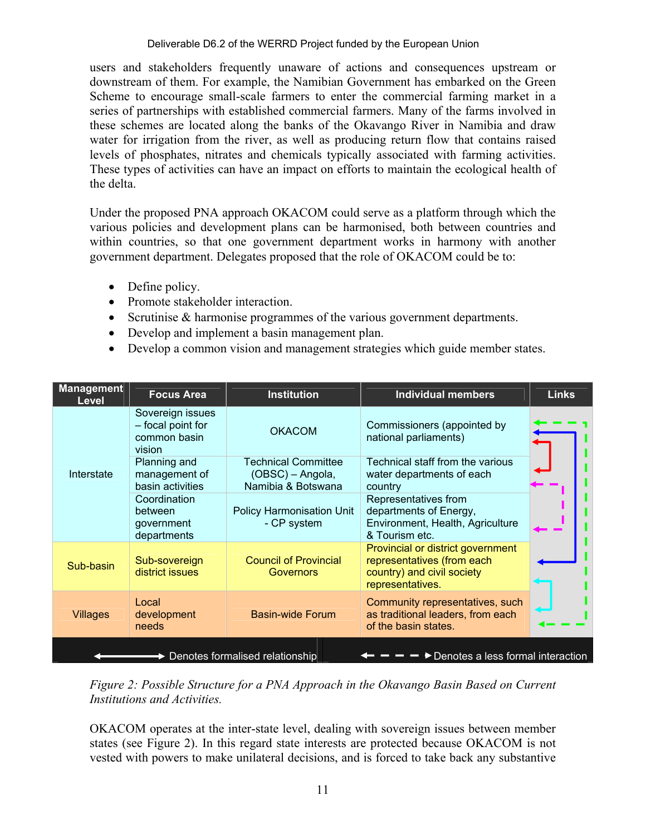users and stakeholders frequently unaware of actions and consequences upstream or downstream of them. For example, the Namibian Government has embarked on the Green Scheme to encourage small-scale farmers to enter the commercial farming market in a series of partnerships with established commercial farmers. Many of the farms involved in these schemes are located along the banks of the Okavango River in Namibia and draw water for irrigation from the river, as well as producing return flow that contains raised levels of phosphates, nitrates and chemicals typically associated with farming activities. These types of activities can have an impact on efforts to maintain the ecological health of the delta.

Under the proposed PNA approach OKACOM could serve as a platform through which the various policies and development plans can be harmonised, both between countries and within countries, so that one government department works in harmony with another government department. Delegates proposed that the role of OKACOM could be to:

- Define policy.
- Promote stakeholder interaction.
- Scrutinise & harmonise programmes of the various government departments.
- Develop and implement a basin management plan.
- Develop a common vision and management strategies which guide member states.

| <b>Management</b><br><b>Level</b>                                                          | <b>Focus Area</b>                                               | <b>Institution</b>                                                   | <b>Individual members</b>                                                                                         | <b>Links</b> |  |  |  |
|--------------------------------------------------------------------------------------------|-----------------------------------------------------------------|----------------------------------------------------------------------|-------------------------------------------------------------------------------------------------------------------|--------------|--|--|--|
|                                                                                            | Sovereign issues<br>- focal point for<br>common basin<br>vision | <b>OKACOM</b>                                                        | Commissioners (appointed by<br>national parliaments)                                                              |              |  |  |  |
| Interstate                                                                                 | Planning and<br>management of<br>basin activities               | <b>Technical Committee</b><br>(OBSC) – Angola,<br>Namibia & Botswana | Technical staff from the various<br>water departments of each<br>country                                          |              |  |  |  |
|                                                                                            | Coordination<br>between<br>government<br>departments            | <b>Policy Harmonisation Unit</b><br>- CP system                      | Representatives from<br>departments of Energy,<br>Environment, Health, Agriculture<br>& Tourism etc.              |              |  |  |  |
| Sub-basin                                                                                  | Sub-sovereign<br>district issues                                | <b>Council of Provincial</b><br>Governors                            | Provincial or district government<br>representatives (from each<br>country) and civil society<br>representatives. |              |  |  |  |
| <b>Villages</b>                                                                            | Local<br>development<br>needs                                   | <b>Basin-wide Forum</b>                                              | Community representatives, such<br>as traditional leaders, from each<br>of the basin states.                      |              |  |  |  |
| Denotes a less formal interaction<br>$\blacktriangleright$ Denotes formalised relationship |                                                                 |                                                                      |                                                                                                                   |              |  |  |  |

*Figure 2: Possible Structure for a PNA Approach in the Okavango Basin Based on Current Institutions and Activities.* 

OKACOM operates at the inter-state level, dealing with sovereign issues between member states (see Figure 2). In this regard state interests are protected because OKACOM is not vested with powers to make unilateral decisions, and is forced to take back any substantive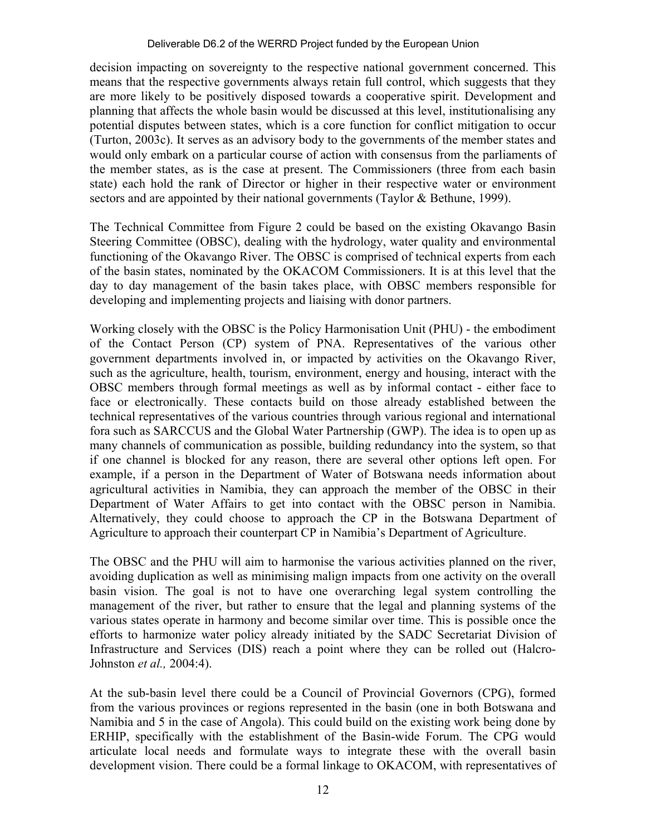decision impacting on sovereignty to the respective national government concerned. This means that the respective governments always retain full control, which suggests that they are more likely to be positively disposed towards a cooperative spirit. Development and planning that affects the whole basin would be discussed at this level, institutionalising any potential disputes between states, which is a core function for conflict mitigation to occur (Turton, 2003c). It serves as an advisory body to the governments of the member states and would only embark on a particular course of action with consensus from the parliaments of the member states, as is the case at present. The Commissioners (three from each basin state) each hold the rank of Director or higher in their respective water or environment sectors and are appointed by their national governments (Taylor & Bethune, 1999).

The Technical Committee from Figure 2 could be based on the existing Okavango Basin Steering Committee (OBSC), dealing with the hydrology, water quality and environmental functioning of the Okavango River. The OBSC is comprised of technical experts from each of the basin states, nominated by the OKACOM Commissioners. It is at this level that the day to day management of the basin takes place, with OBSC members responsible for developing and implementing projects and liaising with donor partners.

Working closely with the OBSC is the Policy Harmonisation Unit (PHU) - the embodiment of the Contact Person (CP) system of PNA. Representatives of the various other government departments involved in, or impacted by activities on the Okavango River, such as the agriculture, health, tourism, environment, energy and housing, interact with the OBSC members through formal meetings as well as by informal contact - either face to face or electronically. These contacts build on those already established between the technical representatives of the various countries through various regional and international fora such as SARCCUS and the Global Water Partnership (GWP). The idea is to open up as many channels of communication as possible, building redundancy into the system, so that if one channel is blocked for any reason, there are several other options left open. For example, if a person in the Department of Water of Botswana needs information about agricultural activities in Namibia, they can approach the member of the OBSC in their Department of Water Affairs to get into contact with the OBSC person in Namibia. Alternatively, they could choose to approach the CP in the Botswana Department of Agriculture to approach their counterpart CP in Namibia's Department of Agriculture.

The OBSC and the PHU will aim to harmonise the various activities planned on the river, avoiding duplication as well as minimising malign impacts from one activity on the overall basin vision. The goal is not to have one overarching legal system controlling the management of the river, but rather to ensure that the legal and planning systems of the various states operate in harmony and become similar over time. This is possible once the efforts to harmonize water policy already initiated by the SADC Secretariat Division of Infrastructure and Services (DIS) reach a point where they can be rolled out (Halcro-Johnston *et al.,* 2004:4).

At the sub-basin level there could be a Council of Provincial Governors (CPG), formed from the various provinces or regions represented in the basin (one in both Botswana and Namibia and 5 in the case of Angola). This could build on the existing work being done by ERHIP, specifically with the establishment of the Basin-wide Forum. The CPG would articulate local needs and formulate ways to integrate these with the overall basin development vision. There could be a formal linkage to OKACOM, with representatives of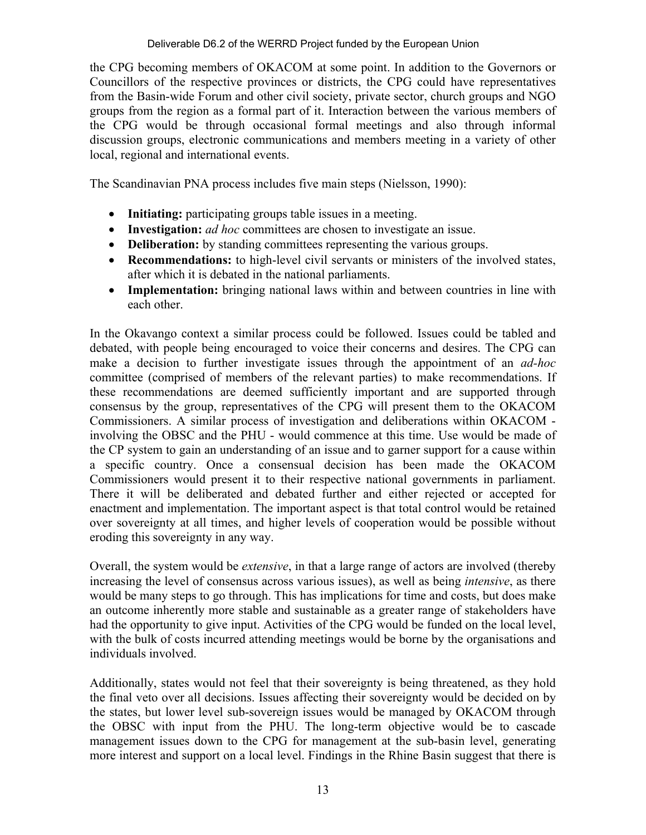the CPG becoming members of OKACOM at some point. In addition to the Governors or Councillors of the respective provinces or districts, the CPG could have representatives from the Basin-wide Forum and other civil society, private sector, church groups and NGO groups from the region as a formal part of it. Interaction between the various members of the CPG would be through occasional formal meetings and also through informal discussion groups, electronic communications and members meeting in a variety of other local, regional and international events.

The Scandinavian PNA process includes five main steps (Nielsson, 1990):

- **Initiating:** participating groups table issues in a meeting.
- **Investigation:** *ad hoc* committees are chosen to investigate an issue.
- **Deliberation:** by standing committees representing the various groups.
- **Recommendations:** to high-level civil servants or ministers of the involved states, after which it is debated in the national parliaments.
- **Implementation:** bringing national laws within and between countries in line with each other.

In the Okavango context a similar process could be followed. Issues could be tabled and debated, with people being encouraged to voice their concerns and desires. The CPG can make a decision to further investigate issues through the appointment of an *ad-hoc* committee (comprised of members of the relevant parties) to make recommendations. If these recommendations are deemed sufficiently important and are supported through consensus by the group, representatives of the CPG will present them to the OKACOM Commissioners. A similar process of investigation and deliberations within OKACOM involving the OBSC and the PHU - would commence at this time. Use would be made of the CP system to gain an understanding of an issue and to garner support for a cause within a specific country. Once a consensual decision has been made the OKACOM Commissioners would present it to their respective national governments in parliament. There it will be deliberated and debated further and either rejected or accepted for enactment and implementation. The important aspect is that total control would be retained over sovereignty at all times, and higher levels of cooperation would be possible without eroding this sovereignty in any way.

Overall, the system would be *extensive*, in that a large range of actors are involved (thereby increasing the level of consensus across various issues), as well as being *intensive*, as there would be many steps to go through. This has implications for time and costs, but does make an outcome inherently more stable and sustainable as a greater range of stakeholders have had the opportunity to give input. Activities of the CPG would be funded on the local level, with the bulk of costs incurred attending meetings would be borne by the organisations and individuals involved.

Additionally, states would not feel that their sovereignty is being threatened, as they hold the final veto over all decisions. Issues affecting their sovereignty would be decided on by the states, but lower level sub-sovereign issues would be managed by OKACOM through the OBSC with input from the PHU. The long-term objective would be to cascade management issues down to the CPG for management at the sub-basin level, generating more interest and support on a local level. Findings in the Rhine Basin suggest that there is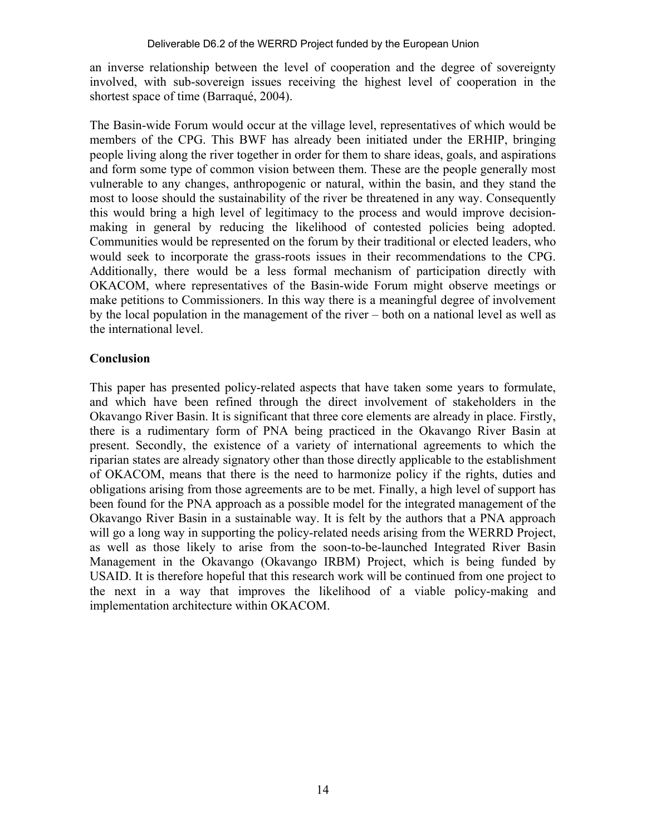an inverse relationship between the level of cooperation and the degree of sovereignty involved, with sub-sovereign issues receiving the highest level of cooperation in the shortest space of time (Barraqué, 2004).

The Basin-wide Forum would occur at the village level, representatives of which would be members of the CPG. This BWF has already been initiated under the ERHIP, bringing people living along the river together in order for them to share ideas, goals, and aspirations and form some type of common vision between them. These are the people generally most vulnerable to any changes, anthropogenic or natural, within the basin, and they stand the most to loose should the sustainability of the river be threatened in any way. Consequently this would bring a high level of legitimacy to the process and would improve decisionmaking in general by reducing the likelihood of contested policies being adopted. Communities would be represented on the forum by their traditional or elected leaders, who would seek to incorporate the grass-roots issues in their recommendations to the CPG. Additionally, there would be a less formal mechanism of participation directly with OKACOM, where representatives of the Basin-wide Forum might observe meetings or make petitions to Commissioners. In this way there is a meaningful degree of involvement by the local population in the management of the river – both on a national level as well as the international level.

# **Conclusion**

This paper has presented policy-related aspects that have taken some years to formulate, and which have been refined through the direct involvement of stakeholders in the Okavango River Basin. It is significant that three core elements are already in place. Firstly, there is a rudimentary form of PNA being practiced in the Okavango River Basin at present. Secondly, the existence of a variety of international agreements to which the riparian states are already signatory other than those directly applicable to the establishment of OKACOM, means that there is the need to harmonize policy if the rights, duties and obligations arising from those agreements are to be met. Finally, a high level of support has been found for the PNA approach as a possible model for the integrated management of the Okavango River Basin in a sustainable way. It is felt by the authors that a PNA approach will go a long way in supporting the policy-related needs arising from the WERRD Project, as well as those likely to arise from the soon-to-be-launched Integrated River Basin Management in the Okavango (Okavango IRBM) Project, which is being funded by USAID. It is therefore hopeful that this research work will be continued from one project to the next in a way that improves the likelihood of a viable policy-making and implementation architecture within OKACOM.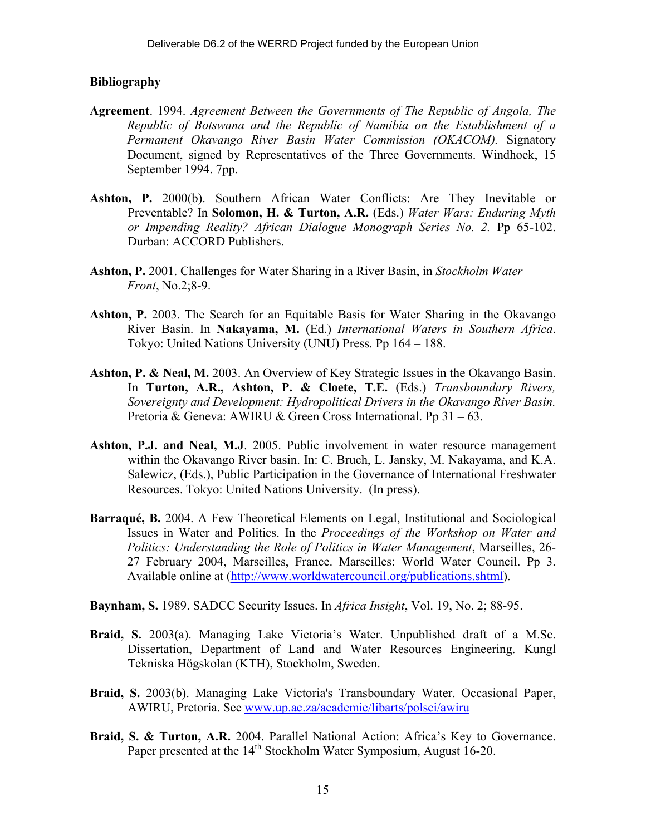#### **Bibliography**

- **Agreement**. 1994. *Agreement Between the Governments of The Republic of Angola, The Republic of Botswana and the Republic of Namibia on the Establishment of a Permanent Okavango River Basin Water Commission (OKACOM).* Signatory Document, signed by Representatives of the Three Governments. Windhoek, 15 September 1994. 7pp.
- **Ashton, P.** 2000(b). Southern African Water Conflicts: Are They Inevitable or Preventable? In **Solomon, H. & Turton, A.R.** (Eds.) *Water Wars: Enduring Myth or Impending Reality? African Dialogue Monograph Series No. 2.* Pp 65-102. Durban: ACCORD Publishers.
- **Ashton, P.** 2001. Challenges for Water Sharing in a River Basin, in *Stockholm Water Front*, No.2;8-9.
- **Ashton, P.** 2003. The Search for an Equitable Basis for Water Sharing in the Okavango River Basin. In **Nakayama, M.** (Ed.) *International Waters in Southern Africa*. Tokyo: United Nations University (UNU) Press. Pp 164 – 188.
- **Ashton, P. & Neal, M.** 2003. An Overview of Key Strategic Issues in the Okavango Basin. In **Turton, A.R., Ashton, P. & Cloete, T.E.** (Eds.) *Transboundary Rivers, Sovereignty and Development: Hydropolitical Drivers in the Okavango River Basin.* Pretoria & Geneva: AWIRU & Green Cross International. Pp 31 – 63.
- **Ashton, P.J. and Neal, M.J**. 2005. Public involvement in water resource management within the Okavango River basin. In: C. Bruch, L. Jansky, M. Nakayama, and K.A. Salewicz, (Eds.), Public Participation in the Governance of International Freshwater Resources. Tokyo: United Nations University. (In press).
- **Barraqué, B.** 2004. A Few Theoretical Elements on Legal, Institutional and Sociological Issues in Water and Politics. In the *Proceedings of the Workshop on Water and Politics: Understanding the Role of Politics in Water Management*, Marseilles, 26- 27 February 2004, Marseilles, France. Marseilles: World Water Council. Pp 3. Available online at (http://www.worldwatercouncil.org/publications.shtml).

**Baynham, S.** 1989. SADCC Security Issues. In *Africa Insight*, Vol. 19, No. 2; 88-95.

- **Braid, S.** 2003(a). Managing Lake Victoria's Water. Unpublished draft of a M.Sc. Dissertation, Department of Land and Water Resources Engineering. Kungl Tekniska Högskolan (KTH), Stockholm, Sweden.
- **Braid, S.** 2003(b). Managing Lake Victoria's Transboundary Water. Occasional Paper, AWIRU, Pretoria. See www.up.ac.za/academic/libarts/polsci/awiru
- **Braid, S. & Turton, A.R.** 2004. Parallel National Action: Africa's Key to Governance. Paper presented at the 14<sup>th</sup> Stockholm Water Symposium, August 16-20.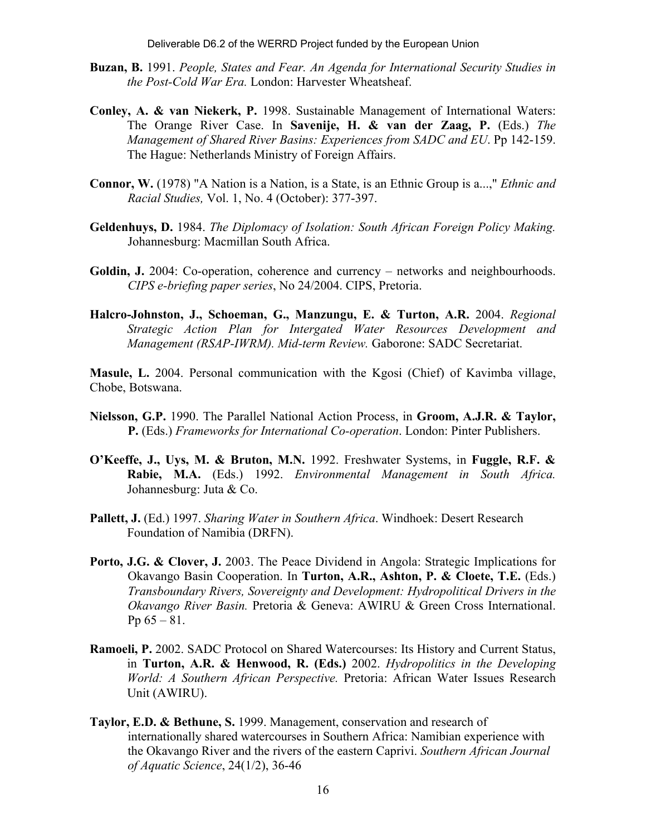- **Buzan, B.** 1991. *People, States and Fear. An Agenda for International Security Studies in the Post-Cold War Era.* London: Harvester Wheatsheaf.
- **Conley, A. & van Niekerk, P.** 1998. Sustainable Management of International Waters: The Orange River Case. In **Savenije, H. & van der Zaag, P.** (Eds.) *The Management of Shared River Basins: Experiences from SADC and EU*. Pp 142-159. The Hague: Netherlands Ministry of Foreign Affairs.
- **Connor, W.** (1978) "A Nation is a Nation, is a State, is an Ethnic Group is a...," *Ethnic and Racial Studies,* Vol. 1, No. 4 (October): 377-397.
- **Geldenhuys, D.** 1984. *The Diplomacy of Isolation: South African Foreign Policy Making.* Johannesburg: Macmillan South Africa.
- **Goldin, J.** 2004: Co-operation, coherence and currency networks and neighbourhoods. *CIPS e-briefing paper series*, No 24/2004. CIPS, Pretoria.
- **Halcro-Johnston, J., Schoeman, G., Manzungu, E. & Turton, A.R.** 2004. *Regional Strategic Action Plan for Intergated Water Resources Development and Management (RSAP-IWRM). Mid-term Review.* Gaborone: SADC Secretariat.

**Masule, L.** 2004. Personal communication with the Kgosi (Chief) of Kavimba village, Chobe, Botswana.

- **Nielsson, G.P.** 1990. The Parallel National Action Process, in **Groom, A.J.R. & Taylor, P.** (Eds.) *Frameworks for International Co-operation*. London: Pinter Publishers.
- **O'Keeffe, J., Uys, M. & Bruton, M.N.** 1992. Freshwater Systems, in **Fuggle, R.F. & Rabie, M.A.** (Eds.) 1992. *Environmental Management in South Africa.*  Johannesburg: Juta & Co.
- **Pallett, J.** (Ed.) 1997. *Sharing Water in Southern Africa*. Windhoek: Desert Research Foundation of Namibia (DRFN).
- Porto, J.G. & Clover, J. 2003. The Peace Dividend in Angola: Strategic Implications for Okavango Basin Cooperation. In **Turton, A.R., Ashton, P. & Cloete, T.E.** (Eds.) *Transboundary Rivers, Sovereignty and Development: Hydropolitical Drivers in the Okavango River Basin.* Pretoria & Geneva: AWIRU & Green Cross International. Pp  $65 - 81$ .
- **Ramoeli, P.** 2002. SADC Protocol on Shared Watercourses: Its History and Current Status, in **Turton, A.R. & Henwood, R. (Eds.)** 2002. *Hydropolitics in the Developing World: A Southern African Perspective.* Pretoria: African Water Issues Research Unit (AWIRU).
- **Taylor, E.D. & Bethune, S.** 1999. Management, conservation and research of internationally shared watercourses in Southern Africa: Namibian experience with the Okavango River and the rivers of the eastern Caprivi. *Southern African Journal of Aquatic Science*, 24(1/2), 36-46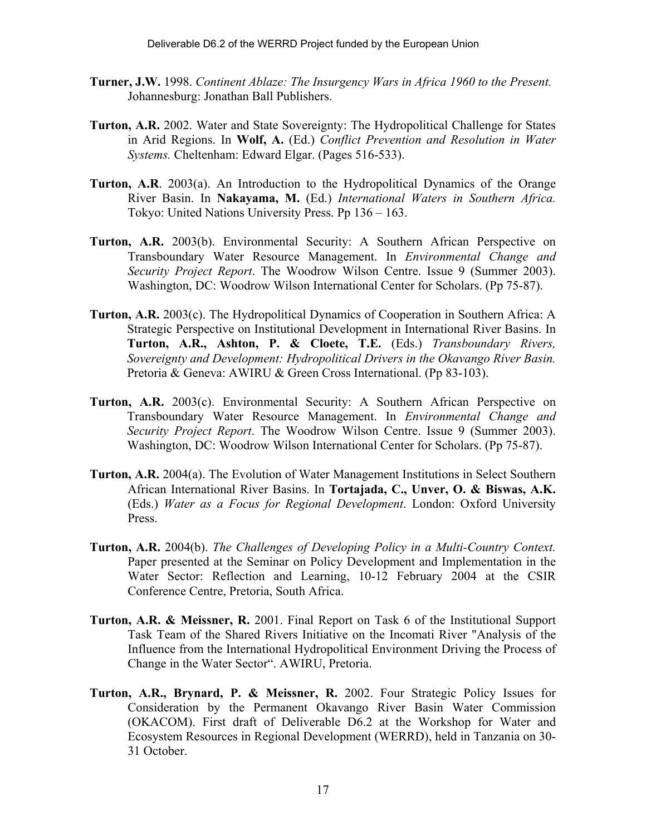- **Turner, J.W.** 1998. *Continent Ablaze: The Insurgency Wars in Africa 1960 to the Present.* Johannesburg: Jonathan Ball Publishers.
- **Turton, A.R.** 2002. Water and State Sovereignty: The Hydropolitical Challenge for States in Arid Regions. In **Wolf, A.** (Ed.) *Conflict Prevention and Resolution in Water Systems.* Cheltenham: Edward Elgar. (Pages 516-533).
- **Turton, A.R**. 2003(a). An Introduction to the Hydropolitical Dynamics of the Orange River Basin. In **Nakayama, M.** (Ed.) *International Waters in Southern Africa.* Tokyo: United Nations University Press. Pp 136 – 163.
- **Turton, A.R.** 2003(b). Environmental Security: A Southern African Perspective on Transboundary Water Resource Management. In *Environmental Change and Security Project Report*. The Woodrow Wilson Centre. Issue 9 (Summer 2003). Washington, DC: Woodrow Wilson International Center for Scholars. (Pp 75-87).
- **Turton, A.R.** 2003(c). The Hydropolitical Dynamics of Cooperation in Southern Africa: A Strategic Perspective on Institutional Development in International River Basins. In **Turton, A.R., Ashton, P. & Cloete, T.E.** (Eds.) *Transboundary Rivers, Sovereignty and Development: Hydropolitical Drivers in the Okavango River Basin.* Pretoria & Geneva: AWIRU & Green Cross International. (Pp 83-103).
- **Turton, A.R.** 2003(c). Environmental Security: A Southern African Perspective on Transboundary Water Resource Management. In *Environmental Change and Security Project Report*. The Woodrow Wilson Centre. Issue 9 (Summer 2003). Washington, DC: Woodrow Wilson International Center for Scholars. (Pp 75-87).
- **Turton, A.R.** 2004(a). The Evolution of Water Management Institutions in Select Southern African International River Basins. In **Tortajada, C., Unver, O. & Biswas, A.K.** (Eds.) *Water as a Focus for Regional Development*. London: Oxford University Press.
- **Turton, A.R.** 2004(b). *The Challenges of Developing Policy in a Multi-Country Context.*  Paper presented at the Seminar on Policy Development and Implementation in the Water Sector: Reflection and Learning, 10-12 February 2004 at the CSIR Conference Centre, Pretoria, South Africa.
- **Turton, A.R. & Meissner, R.** 2001. Final Report on Task 6 of the Institutional Support Task Team of the Shared Rivers Initiative on the Incomati River "Analysis of the Influence from the International Hydropolitical Environment Driving the Process of Change in the Water Sector". AWIRU, Pretoria.
- **Turton, A.R., Brynard, P. & Meissner, R.** 2002. Four Strategic Policy Issues for Consideration by the Permanent Okavango River Basin Water Commission (OKACOM). First draft of Deliverable D6.2 at the Workshop for Water and Ecosystem Resources in Regional Development (WERRD), held in Tanzania on 30- 31 October.